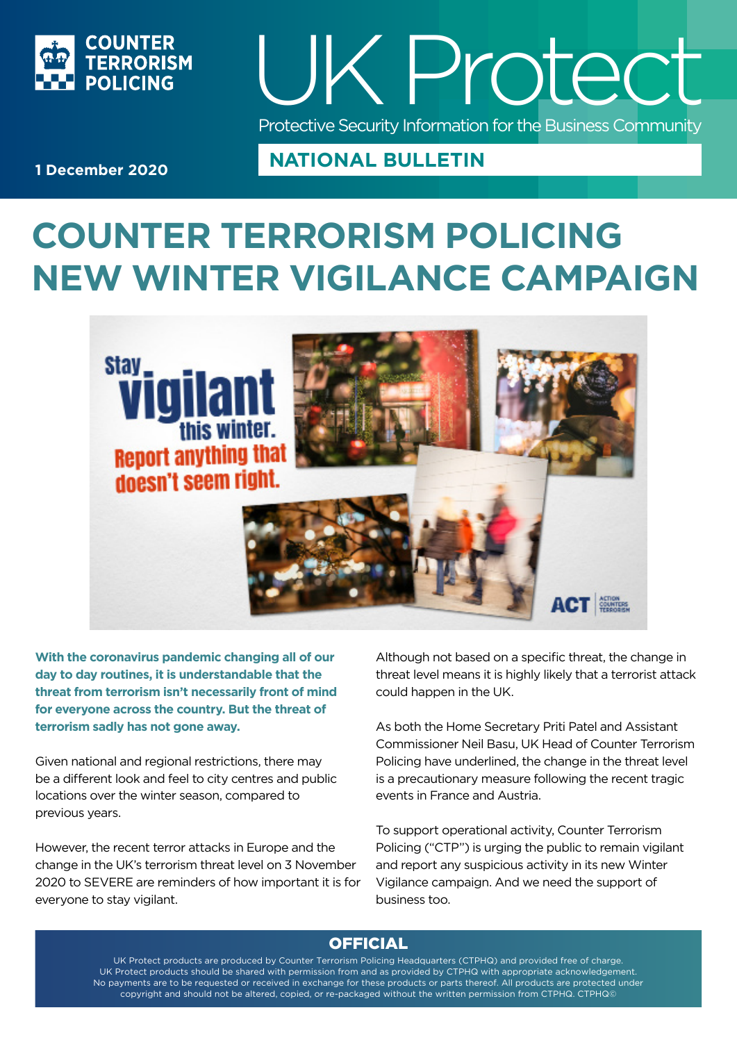



**1 December 2020**

# **COUNTER TERRORISM POLICING NEW WINTER VIGILANCE CAMPAIGN**

**NATIONAL BULLETIN** 



**With the coronavirus pandemic changing all of our day to day routines, it is understandable that the threat from terrorism isn't necessarily front of mind for everyone across the country. But the threat of terrorism sadly has not gone away.**

Given national and regional restrictions, there may be a different look and feel to city centres and public locations over the winter season, compared to previous years.

However, the recent terror attacks in Europe and the change in the UK's terrorism threat level on 3 November 2020 to SEVERE are reminders of how important it is for everyone to stay vigilant.

Although not based on a specific threat, the change in threat level means it is highly likely that a terrorist attack could happen in the UK.

As both the Home Secretary Priti Patel and Assistant Commissioner Neil Basu, UK Head of Counter Terrorism Policing have underlined, the change in the threat level is a precautionary measure following the recent tragic events in France and Austria.

To support operational activity, Counter Terrorism Policing ("CTP") is urging the public to remain vigilant and report any suspicious activity in its new Winter Vigilance campaign. And we need the support of business too.

### **OFFICIAL**

UK Protect products are produced by Counter Terrorism Policing Headquarters (CTPHQ) and provided free of charge. UK Protect products should be shared with permission from and as provided by CTPHQ with appropriate acknowledgement. No payments are to be requested or received in exchange for these products or parts thereof. All products are protected under copyright and should not be altered, copied, or re-packaged without the written permission from CTPHQ. CTPHQ©